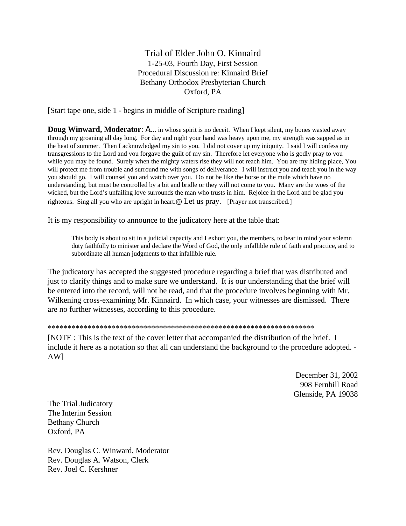## Trial of Elder John O. Kinnaird 1-25-03, Fourth Day, First Session Procedural Discussion re: Kinnaird Brief Bethany Orthodox Presbyterian Church Oxford, PA

[Start tape one, side 1 - begins in middle of Scripture reading]

**Doug Winward, Moderator: A....** in whose spirit is no deceit. When I kept silent, my bones wasted away through my groaning all day long. For day and night your hand was heavy upon me, my strength was sapped as in the heat of summer. Then I acknowledged my sin to you. I did not cover up my iniquity. I said I will confess my transgressions to the Lord and you forgave the guilt of my sin. Therefore let everyone who is godly pray to you while you may be found. Surely when the mighty waters rise they will not reach him. You are my hiding place, You will protect me from trouble and surround me with songs of deliverance. I will instruct you and teach you in the way you should go. I will counsel you and watch over you. Do not be like the horse or the mule which have no understanding, but must be controlled by a bit and bridle or they will not come to you. Many are the woes of the wicked, but the Lord's unfailing love surrounds the man who trusts in him. Rejoice in the Lord and be glad you righteous. Sing all you who are upright in heart. Let us pray. [Prayer not transcribed.]

It is my responsibility to announce to the judicatory here at the table that:

This body is about to sit in a judicial capacity and I exhort you, the members, to bear in mind your solemn duty faithfully to minister and declare the Word of God, the only infallible rule of faith and practice, and to subordinate all human judgments to that infallible rule.

The judicatory has accepted the suggested procedure regarding a brief that was distributed and just to clarify things and to make sure we understand. It is our understanding that the brief will be entered into the record, will not be read, and that the procedure involves beginning with Mr. Wilkening cross-examining Mr. Kinnaird. In which case, your witnesses are dismissed. There are no further witnesses, according to this procedure.

## \*\*\*\*\*\*\*\*\*\*\*\*\*\*\*\*\*\*\*\*\*\*\*\*\*\*\*\*\*\*\*\*\*\*\*\*\*\*\*\*\*\*\*\*\*\*\*\*\*\*\*\*\*\*\*\*\*\*\*\*\*\*\*\*\*\*\*

[NOTE : This is the text of the cover letter that accompanied the distribution of the brief. I include it here as a notation so that all can understand the background to the procedure adopted. - AW]

> December 31, 2002 908 Fernhill Road Glenside, PA 19038

The Trial Judicatory The Interim Session Bethany Church Oxford, PA

Rev. Douglas C. Winward, Moderator Rev. Douglas A. Watson, Clerk Rev. Joel C. Kershner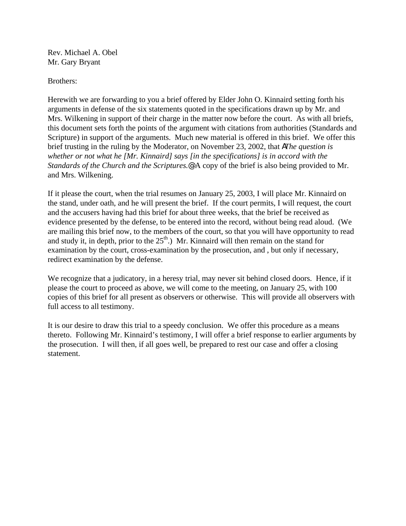Rev. Michael A. Obel Mr. Gary Bryant

Brothers:

Herewith we are forwarding to you a brief offered by Elder John O. Kinnaird setting forth his arguments in defense of the six statements quoted in the specifications drawn up by Mr. and Mrs. Wilkening in support of their charge in the matter now before the court. As with all briefs, this document sets forth the points of the argument with citations from authorities (Standards and Scripture) in support of the arguments. Much new material is offered in this brief. We offer this brief trusting in the ruling by the Moderator, on November 23, 2002, that *AThe question is whether or not what he [Mr. Kinnaird] says [in the specifications] is in accord with the Standards of the Church and the Scriptures.@* A copy of the brief is also being provided to Mr. and Mrs. Wilkening.

If it please the court, when the trial resumes on January 25, 2003, I will place Mr. Kinnaird on the stand, under oath, and he will present the brief. If the court permits, I will request, the court and the accusers having had this brief for about three weeks, that the brief be received as evidence presented by the defense, to be entered into the record, without being read aloud. (We are mailing this brief now, to the members of the court, so that you will have opportunity to read and study it, in depth, prior to the  $25<sup>th</sup>$ .) Mr. Kinnaird will then remain on the stand for examination by the court, cross-examination by the prosecution, and , but only if necessary, redirect examination by the defense.

We recognize that a judicatory, in a heresy trial, may never sit behind closed doors. Hence, if it please the court to proceed as above, we will come to the meeting, on January 25, with 100 copies of this brief for all present as observers or otherwise. This will provide all observers with full access to all testimony.

It is our desire to draw this trial to a speedy conclusion. We offer this procedure as a means thereto. Following Mr. Kinnaird's testimony, I will offer a brief response to earlier arguments by the prosecution. I will then, if all goes well, be prepared to rest our case and offer a closing statement.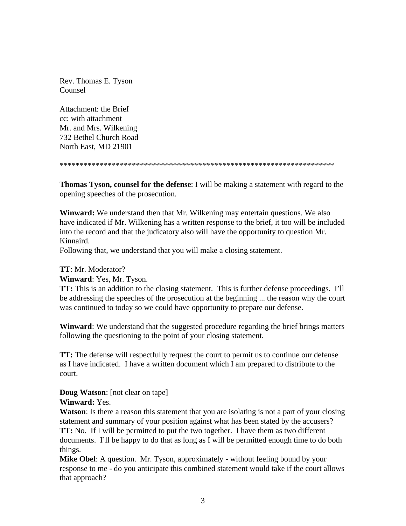Rev. Thomas E. Tyson Counsel

Attachment: the Brief cc: with attachment Mr. and Mrs. Wilkening 732 Bethel Church Road North East, MD 21901

\*\*\*\*\*\*\*\*\*\*\*\*\*\*\*\*\*\*\*\*\*\*\*\*\*\*\*\*\*\*\*\*\*\*\*\*\*\*\*\*\*\*\*\*\*\*\*\*\*\*\*\*\*\*\*\*\*\*\*\*\*\*\*\*\*\*\*\*\*

**Thomas Tyson, counsel for the defense**: I will be making a statement with regard to the opening speeches of the prosecution.

**Winward:** We understand then that Mr. Wilkening may entertain questions. We also have indicated if Mr. Wilkening has a written response to the brief, it too will be included into the record and that the judicatory also will have the opportunity to question Mr. Kinnaird.

Following that, we understand that you will make a closing statement.

**TT**: Mr. Moderator?

**Winward**: Yes, Mr. Tyson.

**TT:** This is an addition to the closing statement. This is further defense proceedings. I'll be addressing the speeches of the prosecution at the beginning ... the reason why the court was continued to today so we could have opportunity to prepare our defense.

**Winward**: We understand that the suggested procedure regarding the brief brings matters following the questioning to the point of your closing statement.

**TT:** The defense will respectfully request the court to permit us to continue our defense as I have indicated. I have a written document which I am prepared to distribute to the court.

**Doug Watson**: [not clear on tape] **Winward:** Yes.

**Watson**: Is there a reason this statement that you are isolating is not a part of your closing statement and summary of your position against what has been stated by the accusers? **TT:** No. If I will be permitted to put the two together. I have them as two different documents. I'll be happy to do that as long as I will be permitted enough time to do both things.

**Mike Obel**: A question. Mr. Tyson, approximately - without feeling bound by your response to me - do you anticipate this combined statement would take if the court allows that approach?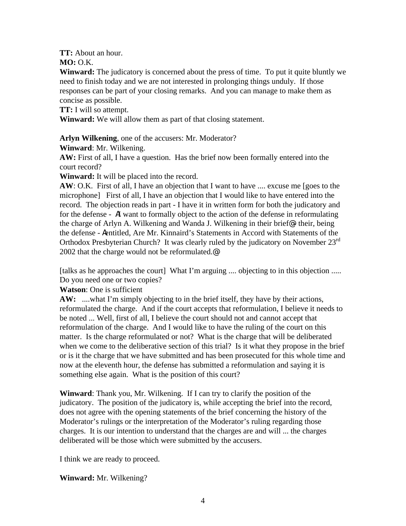**TT:** About an hour.

**MO:** O.K.

**Winward:** The judicatory is concerned about the press of time. To put it quite bluntly we need to finish today and we are not interested in prolonging things unduly. If those responses can be part of your closing remarks. And you can manage to make them as concise as possible.

**TT:** I will so attempt.

**Winward:** We will allow them as part of that closing statement.

**Arlyn Wilkening**, one of the accusers: Mr. Moderator?

**Winward**: Mr. Wilkening.

**AW:** First of all, I have a question. Has the brief now been formally entered into the court record?

**Winward:** It will be placed into the record.

AW: O.K. First of all, I have an objection that I want to have .... excuse me [goes to the microphone] First of all, I have an objection that I would like to have entered into the record. The objection reads in part - I have it in written form for both the judicatory and for the defense - AI want to formally object to the action of the defense in reformulating the charge of Arlyn A. Wilkening and Wanda J. Wilkening in their brief@ - their, being the defense - Aentitled, Are Mr. Kinnaird's Statements in Accord with Statements of the Orthodox Presbyterian Church? It was clearly ruled by the judicatory on November 23rd 2002 that the charge would not be reformulated.@

[talks as he approaches the court] What I'm arguing .... objecting to in this objection ..... Do you need one or two copies?

**Watson**: One is sufficient

AW: ....what I'm simply objecting to in the brief itself, they have by their actions, reformulated the charge. And if the court accepts that reformulation, I believe it needs to be noted ... Well, first of all, I believe the court should not and cannot accept that reformulation of the charge. And I would like to have the ruling of the court on this matter. Is the charge reformulated or not? What is the charge that will be deliberated when we come to the deliberative section of this trial? Is it what they propose in the brief or is it the charge that we have submitted and has been prosecuted for this whole time and now at the eleventh hour, the defense has submitted a reformulation and saying it is something else again. What is the position of this court?

**Winward**: Thank you, Mr. Wilkening. If I can try to clarify the position of the judicatory. The position of the judicatory is, while accepting the brief into the record, does not agree with the opening statements of the brief concerning the history of the Moderator's rulings or the interpretation of the Moderator's ruling regarding those charges. It is our intention to understand that the charges are and will ... the charges deliberated will be those which were submitted by the accusers.

I think we are ready to proceed.

**Winward:** Mr. Wilkening?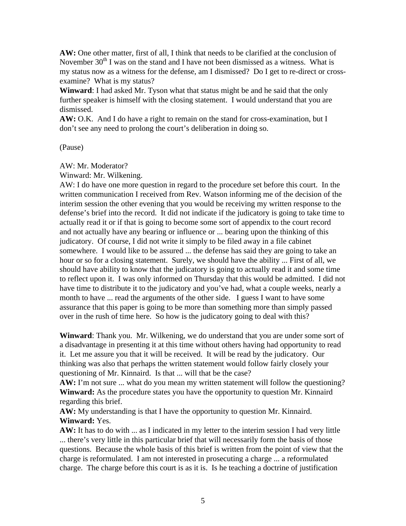**AW:** One other matter, first of all, I think that needs to be clarified at the conclusion of November  $30<sup>th</sup>$  I was on the stand and I have not been dismissed as a witness. What is my status now as a witness for the defense, am I dismissed? Do I get to re-direct or crossexamine? What is my status?

**Winward**: I had asked Mr. Tyson what that status might be and he said that the only further speaker is himself with the closing statement. I would understand that you are dismissed.

**AW:** O.K. And I do have a right to remain on the stand for cross-examination, but I don't see any need to prolong the court's deliberation in doing so.

(Pause)

AW: Mr. Moderator?

Winward: Mr. Wilkening.

AW: I do have one more question in regard to the procedure set before this court. In the written communication I received from Rev. Watson informing me of the decision of the interim session the other evening that you would be receiving my written response to the defense's brief into the record. It did not indicate if the judicatory is going to take time to actually read it or if that is going to become some sort of appendix to the court record and not actually have any bearing or influence or ... bearing upon the thinking of this judicatory. Of course, I did not write it simply to be filed away in a file cabinet somewhere. I would like to be assured ... the defense has said they are going to take an hour or so for a closing statement. Surely, we should have the ability ... First of all, we should have ability to know that the judicatory is going to actually read it and some time to reflect upon it. I was only informed on Thursday that this would be admitted. I did not have time to distribute it to the judicatory and you've had, what a couple weeks, nearly a month to have ... read the arguments of the other side. I guess I want to have some assurance that this paper is going to be more than something more than simply passed over in the rush of time here. So how is the judicatory going to deal with this?

**Winward**: Thank you. Mr. Wilkening, we do understand that you are under some sort of a disadvantage in presenting it at this time without others having had opportunity to read it. Let me assure you that it will be received. It will be read by the judicatory. Our thinking was also that perhaps the written statement would follow fairly closely your questioning of Mr. Kinnaird. Is that ... will that be the case?

AW: I'm not sure ... what do you mean my written statement will follow the questioning? **Winward:** As the procedure states you have the opportunity to question Mr. Kinnaird regarding this brief.

**AW:** My understanding is that I have the opportunity to question Mr. Kinnaird. **Winward:** Yes.

**AW:** It has to do with ... as I indicated in my letter to the interim session I had very little ... there's very little in this particular brief that will necessarily form the basis of those questions. Because the whole basis of this brief is written from the point of view that the charge is reformulated. I am not interested in prosecuting a charge ... a reformulated charge. The charge before this court is as it is. Is he teaching a doctrine of justification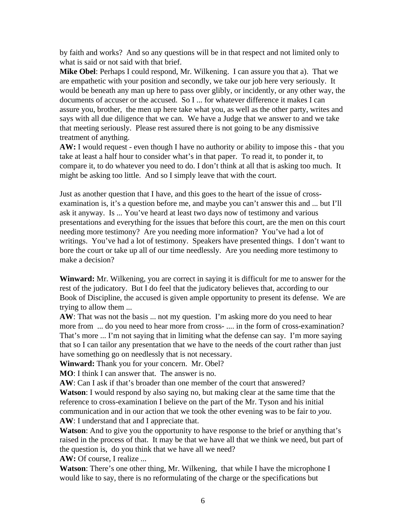by faith and works? And so any questions will be in that respect and not limited only to what is said or not said with that brief.

**Mike Obel**: Perhaps I could respond, Mr. Wilkening. I can assure you that a). That we are empathetic with your position and secondly, we take our job here very seriously. It would be beneath any man up here to pass over glibly, or incidently, or any other way, the documents of accuser or the accused. So I ... for whatever difference it makes I can assure you, brother, the men up here take what you, as well as the other party, writes and says with all due diligence that we can. We have a Judge that we answer to and we take that meeting seriously. Please rest assured there is not going to be any dismissive treatment of anything.

AW: I would request - even though I have no authority or ability to impose this - that you take at least a half hour to consider what's in that paper. To read it, to ponder it, to compare it, to do whatever you need to do. I don't think at all that is asking too much. It might be asking too little. And so I simply leave that with the court.

Just as another question that I have, and this goes to the heart of the issue of crossexamination is, it's a question before me, and maybe you can't answer this and ... but I'll ask it anyway. Is ... You've heard at least two days now of testimony and various presentations and everything for the issues that before this court, are the men on this court needing more testimony? Are you needing more information? You've had a lot of writings. You've had a lot of testimony. Speakers have presented things. I don't want to bore the court or take up all of our time needlessly. Are you needing more testimony to make a decision?

**Winward:** Mr. Wilkening, you are correct in saying it is difficult for me to answer for the rest of the judicatory. But I do feel that the judicatory believes that, according to our Book of Discipline, the accused is given ample opportunity to present its defense. We are trying to allow them ...

**AW**: That was not the basis ... not my question. I'm asking more do you need to hear more from ... do you need to hear more from cross- .... in the form of cross-examination? That's more ... I'm not saying that in limiting what the defense can say. I'm more saying that so I can tailor any presentation that we have to the needs of the court rather than just have something go on needlessly that is not necessary.

**Winward:** Thank you for your concern. Mr. Obel?

**MO**: I think I can answer that. The answer is no.

**AW**: Can I ask if that's broader than one member of the court that answered? **Watson**: I would respond by also saying no, but making clear at the same time that the reference to cross-examination I believe on the part of the Mr. Tyson and his initial communication and in our action that we took the other evening was to be fair to *you*. **AW**: I understand that and I appreciate that.

Watson: And to give you the opportunity to have response to the brief or anything that's raised in the process of that. It may be that we have all that we think we need, but part of the question is, do you think that we have all we need?

**AW:** Of course, I realize ...

**Watson**: There's one other thing, Mr. Wilkening, that while I have the microphone I would like to say, there is no reformulating of the charge or the specifications but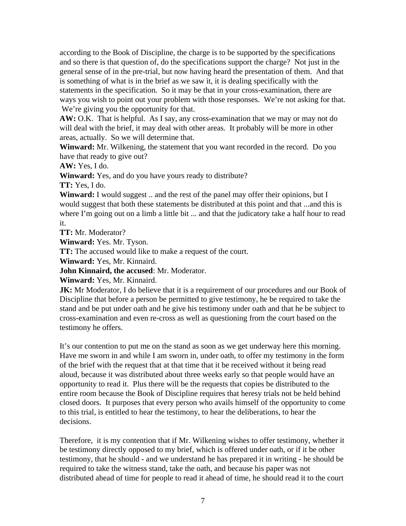according to the Book of Discipline, the charge is to be supported by the specifications and so there is that question of, do the specifications support the charge? Not just in the general sense of in the pre-trial, but now having heard the presentation of them. And that is something of what is in the brief as we saw it, it is dealing specifically with the statements in the specification. So it may be that in your cross-examination, there are ways you wish to point out your problem with those responses. We're not asking for that. We're giving you the opportunity for that.

**AW:** O.K. That is helpful. As I say, any cross-examination that we may or may not do will deal with the brief, it may deal with other areas. It probably will be more in other areas, actually. So we will determine that.

**Winward:** Mr. Wilkening, the statement that you want recorded in the record. Do you have that ready to give out?

**AW:** Yes, I do.

**Winward:** Yes, and do you have yours ready to distribute?

**TT:** Yes, I do.

**Winward:** I would suggest .. and the rest of the panel may offer their opinions, but I would suggest that both these statements be distributed at this point and that ...and this is where I'm going out on a limb a little bit ... and that the judicatory take a half hour to read it.

**TT:** Mr. Moderator?

**Winward:** Yes. Mr. Tyson.

**TT:** The accused would like to make a request of the court.

**Winward:** Yes, Mr. Kinnaird.

**John Kinnaird, the accused**: Mr. Moderator.

**Winward:** Yes, Mr. Kinnaird.

**JK:** Mr Moderator, I do believe that it is a requirement of our procedures and our Book of Discipline that before a person be permitted to give testimony, he be required to take the stand and be put under oath and he give his testimony under oath and that he be subject to cross-examination and even re-cross as well as questioning from the court based on the testimony he offers.

It's our contention to put me on the stand as soon as we get underway here this morning. Have me sworn in and while I am sworn in, under oath, to offer my testimony in the form of the brief with the request that at that time that it be received without it being read aloud, because it was distributed about three weeks early so that people would have an opportunity to read it. Plus there will be the requests that copies be distributed to the entire room because the Book of Discipline requires that heresy trials not be held behind closed doors. It purposes that every person who avails himself of the opportunity to come to this trial, is entitled to hear the testimony, to hear the deliberations, to hear the decisions.

Therefore, it is my contention that if Mr. Wilkening wishes to offer testimony, whether it be testimony directly opposed to my brief, which is offered under oath, or if it be other testimony, that he should - and we understand he has prepared it in writing - he should be required to take the witness stand, take the oath, and because his paper was not distributed ahead of time for people to read it ahead of time, he should read it to the court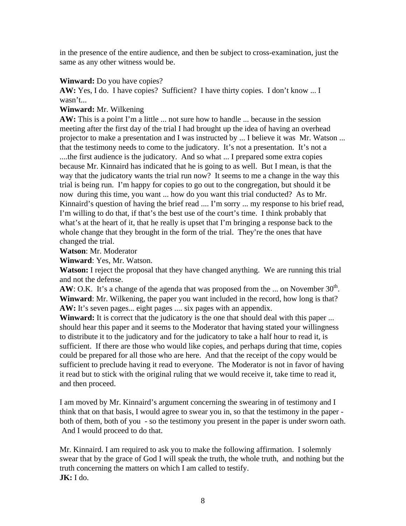in the presence of the entire audience, and then be subject to cross-examination, just the same as any other witness would be.

## **Winward:** Do you have copies?

AW: Yes, I do. I have copies? Sufficient? I have thirty copies. I don't know ... I wasn't...

## **Winward:** Mr. Wilkening

**AW:** This is a point I'm a little ... not sure how to handle ... because in the session meeting after the first day of the trial I had brought up the idea of having an overhead projector to make a presentation and I was instructed by ... I believe it was Mr. Watson ... that the testimony needs to come to the judicatory. It's not a presentation. It's not a ....the first audience is the judicatory. And so what ... I prepared some extra copies because Mr. Kinnaird has indicated that he is going to as well. But I mean, is that the way that the judicatory wants the trial run now? It seems to me a change in the way this trial is being run. I'm happy for copies to go out to the congregation, but should it be now during this time, you want ... how do you want this trial conducted? As to Mr. Kinnaird's question of having the brief read .... I'm sorry ... my response to his brief read, I'm willing to do that, if that's the best use of the court's time. I think probably that what's at the heart of it, that he really is upset that I'm bringing a response back to the whole change that they brought in the form of the trial. They're the ones that have changed the trial.

**Watson**: Mr. Moderator

**Winward**: Yes, Mr. Watson.

**Watson:** I reject the proposal that they have changed anything. We are running this trial and not the defense.

**AW**: O.K. It's a change of the agenda that was proposed from the ... on November  $30<sup>th</sup>$ . **Winward**: Mr. Wilkening, the paper you want included in the record, how long is that? AW: It's seven pages... eight pages .... six pages with an appendix.

**Winward:** It is correct that the judicatory is the one that should deal with this paper ... should hear this paper and it seems to the Moderator that having stated your willingness to distribute it to the judicatory and for the judicatory to take a half hour to read it, is sufficient. If there are those who would like copies, and perhaps during that time, copies could be prepared for all those who are here. And that the receipt of the copy would be sufficient to preclude having it read to everyone. The Moderator is not in favor of having it read but to stick with the original ruling that we would receive it, take time to read it, and then proceed.

I am moved by Mr. Kinnaird's argument concerning the swearing in of testimony and I think that on that basis, I would agree to swear you in, so that the testimony in the paper both of them, both of you - so the testimony you present in the paper is under sworn oath. And I would proceed to do that.

Mr. Kinnaird. I am required to ask you to make the following affirmation. I solemnly swear that by the grace of God I will speak the truth, the whole truth, and nothing but the truth concerning the matters on which I am called to testify. **JK:** I do.